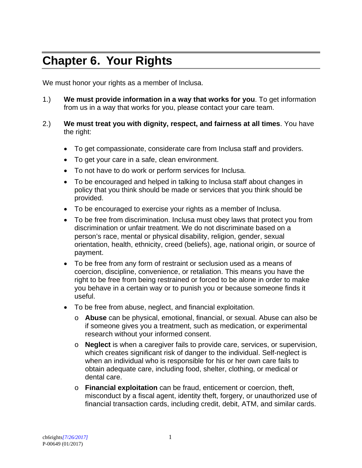## **Chapter 6. Your Rights**

We must honor your rights as a member of Inclusa.

- 1.) **We must provide information in a way that works for you**. To get information from us in a way that works for you, please contact your care team.
- 2.) **We must treat you with dignity, respect, and fairness at all times**. You have the right:
	- To get compassionate, considerate care from Inclusa staff and providers.
	- To get your care in a safe, clean environment.
	- To not have to do work or perform services for Inclusa.
	- To be encouraged and helped in talking to Inclusa staff about changes in policy that you think should be made or services that you think should be provided.
	- To be encouraged to exercise your rights as a member of Inclusa.
	- To be free from discrimination. Inclusa must obey laws that protect you from discrimination or unfair treatment. We do not discriminate based on a person's race, mental or physical disability, religion, gender, sexual orientation, health, ethnicity, creed (beliefs), age, national origin, or source of payment.
	- To be free from any form of restraint or seclusion used as a means of coercion, discipline, convenience, or retaliation. This means you have the right to be free from being restrained or forced to be alone in order to make you behave in a certain way or to punish you or because someone finds it useful.
	- To be free from abuse, neglect, and financial exploitation.
		- o **Abuse** can be physical, emotional, financial, or sexual. Abuse can also be if someone gives you a treatment, such as medication, or experimental research without your informed consent.
		- o **Neglect** is when a caregiver fails to provide care, services, or supervision, which creates significant risk of danger to the individual. Self-neglect is when an individual who is responsible for his or her own care fails to obtain adequate care, including food, shelter, clothing, or medical or dental care.
		- o **Financial exploitation** can be fraud, enticement or coercion, theft, misconduct by a fiscal agent, identity theft, forgery, or unauthorized use of financial transaction cards, including credit, debit, ATM, and similar cards.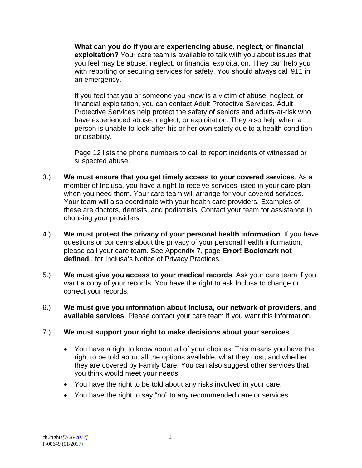**What can you do if you are experiencing abuse, neglect, or financial exploitation?** Your care team is available to talk with you about issues that you feel may be abuse, neglect, or financial exploitation. They can help you with reporting or securing services for safety. You should always call 911 in an emergency.

If you feel that you or someone you know is a victim of abuse, neglect, or financial exploitation, you can contact Adult Protective Services. Adult Protective Services help protect the safety of seniors and adults-at-risk who have experienced abuse, neglect, or exploitation. They also help when a person is unable to look after his or her own safety due to a health condition or disability.

Page 12 lists the phone numbers to call to report incidents of witnessed or suspected abuse.

- 3.) **We must ensure that you get timely access to your covered services**. As a member of Inclusa, you have a right to receive services listed in your care plan when you need them. Your care team will arrange for your covered services. Your team will also coordinate with your health care providers. Examples of these are doctors, dentists, and podiatrists. Contact your team for assistance in choosing your providers.
- 4.) **We must protect the privacy of your personal health information**. If you have questions or concerns about the privacy of your personal health information, please call your care team. See Appendix 7, page **Error! Bookmark not defined.**, for Inclusa's Notice of Privacy Practices.
- 5.) **We must give you access to your medical records**. Ask your care team if you want a copy of your records. You have the right to ask Inclusa to change or correct your records.
- 6.) **We must give you information about Inclusa, our network of providers, and available services**. Please contact your care team if you want this information.

## 7.) **We must support your right to make decisions about your services**.

- You have a right to know about all of your choices. This means you have the right to be told about all the options available, what they cost, and whether they are covered by Family Care. You can also suggest other services that you think would meet your needs.
- You have the right to be told about any risks involved in your care.
- You have the right to say "no" to any recommended care or services.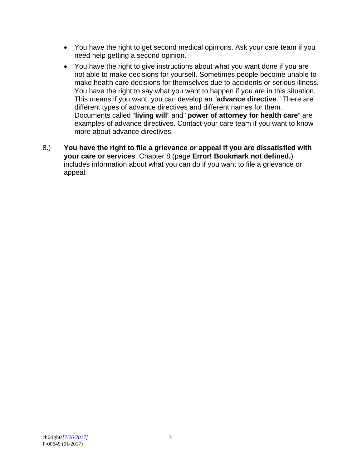- You have the right to get second medical opinions. Ask your care team if you need help getting a second opinion.
- You have the right to give instructions about what you want done if you are not able to make decisions for yourself. Sometimes people become unable to make health care decisions for themselves due to accidents or serious illness. You have the right to say what you want to happen if you are in this situation. This means if you want, you can develop an "**advance directive**." There are different types of advance directives and different names for them. Documents called "**living will**" and "**power of attorney for health care**" are examples of advance directives. Contact your care team if you want to know more about advance directives.
- 8.) **You have the right to file a grievance or appeal if you are dissatisfied with your care or services**. Chapter 8 (page **Error! Bookmark not defined.**) includes information about what you can do if you want to file a grievance or appeal.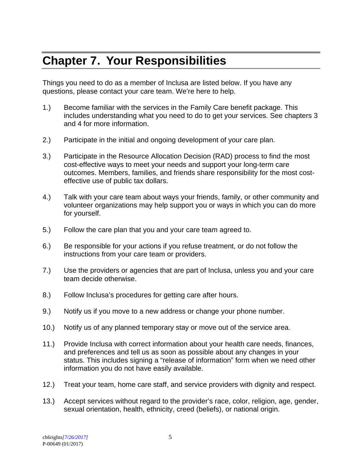## **Chapter 7. Your Responsibilities**

Things you need to do as a member of Inclusa are listed below. If you have any questions, please contact your care team. We're here to help.

- 1.) Become familiar with the services in the Family Care benefit package. This includes understanding what you need to do to get your services. See chapters 3 and 4 for more information.
- 2.) Participate in the initial and ongoing development of your care plan.
- 3.) Participate in the Resource Allocation Decision (RAD) process to find the most cost-effective ways to meet your needs and support your long-term care outcomes. Members, families, and friends share responsibility for the most costeffective use of public tax dollars.
- 4.) Talk with your care team about ways your friends, family, or other community and volunteer organizations may help support you or ways in which you can do more for yourself.
- 5.) Follow the care plan that you and your care team agreed to.
- 6.) Be responsible for your actions if you refuse treatment, or do not follow the instructions from your care team or providers.
- 7.) Use the providers or agencies that are part of Inclusa, unless you and your care team decide otherwise.
- 8.) Follow Inclusa's procedures for getting care after hours.
- 9.) Notify us if you move to a new address or change your phone number.
- 10.) Notify us of any planned temporary stay or move out of the service area.
- 11.) Provide Inclusa with correct information about your health care needs, finances, and preferences and tell us as soon as possible about any changes in your status. This includes signing a "release of information" form when we need other information you do not have easily available.
- 12.) Treat your team, home care staff, and service providers with dignity and respect.
- 13.) Accept services without regard to the provider's race, color, religion, age, gender, sexual orientation, health, ethnicity, creed (beliefs), or national origin.